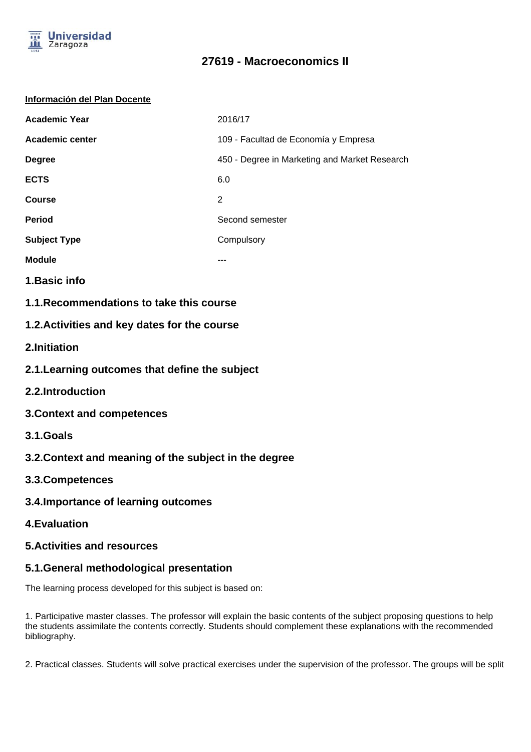

# **27619 - Macroeconomics II**

#### **Información del Plan Docente**

| <b>Academic Year</b> | 2016/17                                       |
|----------------------|-----------------------------------------------|
| Academic center      | 109 - Facultad de Economía y Empresa          |
| <b>Degree</b>        | 450 - Degree in Marketing and Market Research |
| <b>ECTS</b>          | 6.0                                           |
| <b>Course</b>        | 2                                             |
| <b>Period</b>        | Second semester                               |
| <b>Subject Type</b>  | Compulsory                                    |
| <b>Module</b>        | ---                                           |

- **1.Basic info**
- **1.1.Recommendations to take this course**

### **1.2.Activities and key dates for the course**

- **2.Initiation**
- **2.1.Learning outcomes that define the subject**
- **2.2.Introduction**
- **3.Context and competences**
- **3.1.Goals**
- **3.2.Context and meaning of the subject in the degree**
- **3.3.Competences**
- **3.4.Importance of learning outcomes**
- **4.Evaluation**

#### **5.Activities and resources**

### **5.1.General methodological presentation**

The learning process developed for this subject is based on:

1. Participative master classes. The professor will explain the basic contents of the subject proposing questions to help the students assimilate the contents correctly. Students should complement these explanations with the recommended bibliography.

2. Practical classes. Students will solve practical exercises under the supervision of the professor. The groups will be split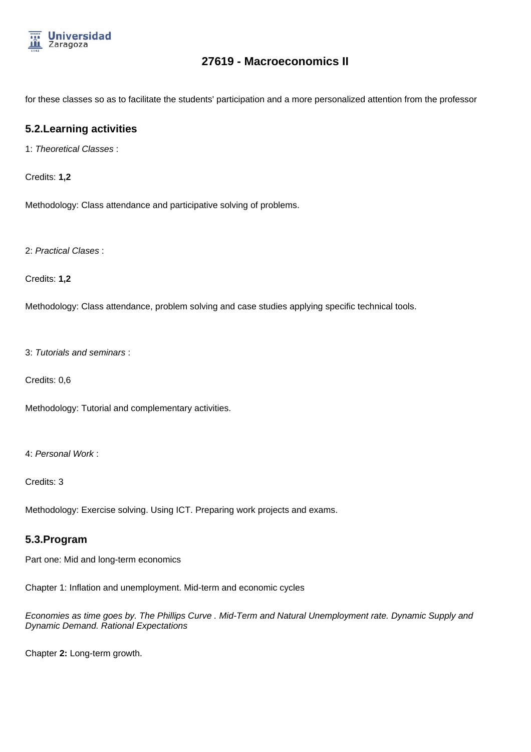

## **27619 - Macroeconomics II**

for these classes so as to facilitate the students' participation and a more personalized attention from the professor

### **5.2.Learning activities**

1: Theoretical Classes :

Credits: **1,2**

Methodology: Class attendance and participative solving of problems.

2: Practical Clases :

Credits: **1,2**

Methodology: Class attendance, problem solving and case studies applying specific technical tools.

3: Tutorials and seminars :

Credits: 0,6

Methodology: Tutorial and complementary activities.

4: Personal Work :

Credits: 3

Methodology: Exercise solving. Using ICT. Preparing work projects and exams.

#### **5.3.Program**

Part one: Mid and long-term economics

Chapter 1: Inflation and unemployment. Mid-term and economic cycles

Economies as time goes by. The Phillips Curve . Mid-Term and Natural Unemployment rate. Dynamic Supply and Dynamic Demand. Rational Expectations

Chapter **2:** Long-term growth.